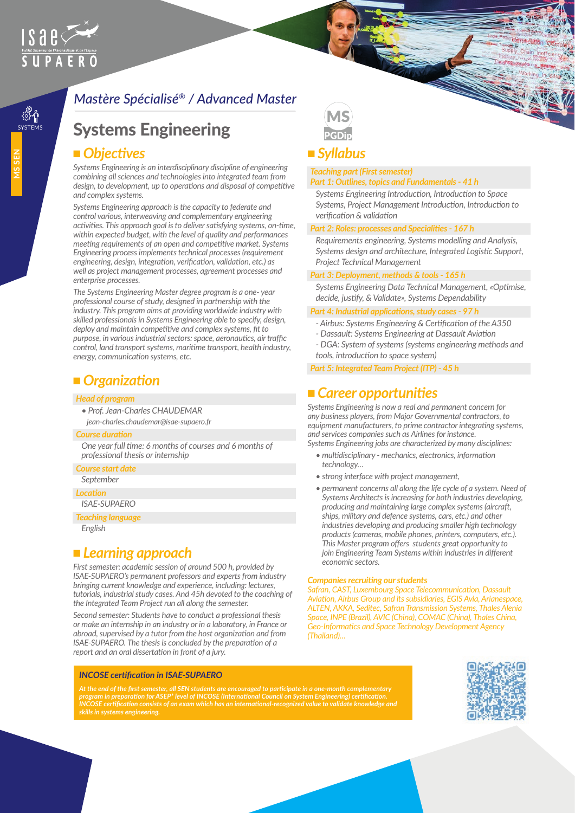# $IS$ ae $\leq$ Institut Supérieur de l'Aéronautique et de l'Espace

ၟૹ૿<br>ဣ૱

## *Mastère Spécialisé® / Advanced Master*

## **Systems Engineering**

### ■ Objectives

*Systems Engineering is an interdisciplinary discipline of engineering combining all sciences and technologies into integrated team from design, to development, up to operations and disposal of competitive and complex systems.*

*Systems Engineering approach is the capacity to federate and control various, interweaving and complementary engineering activities. This approach goal is to deliver satisfying systems, on-time, within expected budget, with the level of quality and performances meeting requirements of an open and competitive market. Systems Engineering process implements technical processes (requirement engineering, design, integration, verification, validation, etc.) as well as project management processes, agreement processes and enterprise processes.*

*The Systems Engineering Master degree program is a one- year professional course of study, designed in partnership with the industry. This program aims at providing worldwide industry with skilled professionals in Systems Engineering able to specify, design, deploy and maintain competitive and complex systems, fit to purpose, in various industrial sectors: space, aeronautics, air traffic control, land transport systems, maritime transport, health industry, energy, communication systems, etc.*

## ■ *Organization*

#### *Head of program*

*• Prof. Jean-Charles CHAUDEMAR jean-charles.chaudemar@isae-supaero.fr*

#### *Course duration*

*One year full time: 6 months of courses and 6 months of professional thesis or internship* 

#### *Course start date*

*September*

#### *Location*

*ISAE-SUPAERO*

*Teaching language*

*English*

## ■ *Learning approach*

*First semester: academic session of around 500 h, provided by ISAE-SUPAERO's permanent professors and experts from industry bringing current knowledge and experience, including: lectures, tutorials, industrial study cases. And 45h devoted to the coaching of the Integrated Team Project run all along the semester.*

*Second semester: Students have to conduct a professional thesis or make an internship in an industry or in a laboratory, in France or abroad, supervised by a tutor from the host organization and from ISAE-SUPAERO. The thesis is concluded by the preparation of a report and an oral dissertation in front of a jury.*

#### *INCOSE certification in ISAE-SUPAERO*

*At the end of the first semester, all SEN students are encouraged to participate in a one-month complementary program in preparation for ASEP\* level of INCOSE (International Council on System Engineering) certification. INCOSE certification consists of an exam which has an international-recognized value to validate knowledge and skills in systems engineering.*



## <sup>n</sup> *Syllabus*

#### *Teaching part (First semester)*

*Part 1: Outlines, topics and Fundamentals - 41 h* 

*Systems Engineering Introduction, Introduction to Space Systems, Project Management Introduction, Introduction to verification & validation* 

#### *Part 2: Roles: processes and Specialities - 167 h*

*Requirements engineering, Systems modelling and Analysis, Systems design and architecture, Integrated Logistic Support, Project Technical Management*

#### *Part 3: Deployment, methods & tools - 165 h*

*Systems Engineering Data Technical Management, «Optimise, decide, justify, & Validate», Systems Dependability* 

#### *Part 4: Industrial applications, study cases - 97 h*

- *Airbus: Systems Engineering & Certification of the A350*
- *Dassault: Systems Engineering at Dassault Aviation*
- *DGA: System of systems (systems engineering methods and tools, introduction to space system)*
- *Part 5: Integrated Team Project (ITP) 45 h*

### <sup>n</sup> *Career opportunities*

*Systems Engineering is now a real and permanent concern for any business players, from Major Governmental contractors, to equipment manufacturers, to prime contractor integrating systems, and services companies such as Airlines for instance.*

*Systems Engineering jobs are characterized by many disciplines:*

- *multidisciplinary mechanics, electronics, information technology…*
- *strong interface with project management,*
- permanent concerns all along the life cycle of a system. Need of *Systems Architects is increasing for both industries developing, producing and maintaining large complex systems (aircraft, ships, military and defence systems, cars, etc.) and other industries developing and producing smaller high technology products (cameras, mobile phones, printers, computers, etc.). This Master program offers students great opportunity to join Engineering Team Systems within industries in different economic sectors.*

#### *Companies recruiting our students*

*Safran, CAST, Luxembourg Space Telecommunication, Dassault Aviation, Airbus Group and its subsidiaries, EGIS Avia, Arianespace, ALTEN, AKKA, Seditec, Safran Transmission Systems, Thales Alenia Space, INPE (Brazil), AVIC (China), COMAC (China), Thales China, Geo-Informatics and Space Technology Development Agency (Thailand)…*

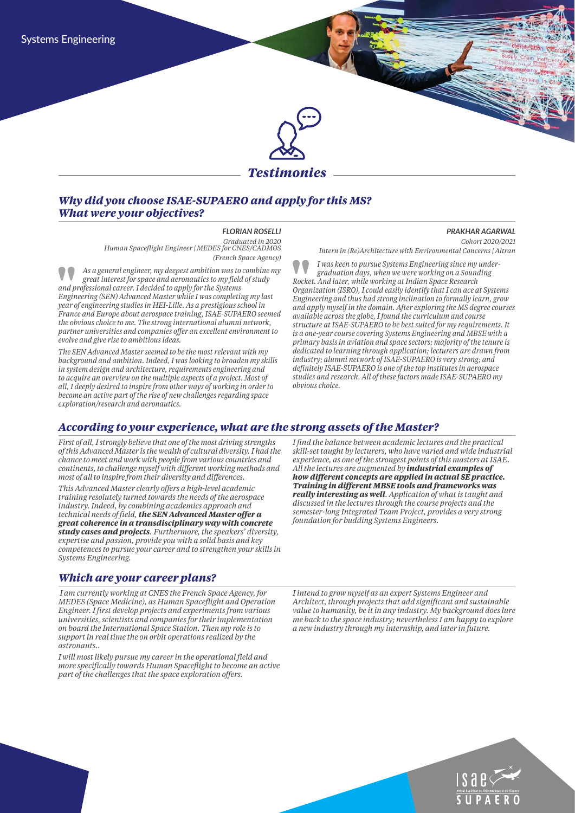

#### *Why did you choose ISAE-SUPAERO and apply for this MS? What were your objectives?*

*FLORIAN ROSELLI Graduated in 2020 Human Spaceflight Engineer | MEDES for CNES/CADMOS (French Space Agency)*

*As a general engineer, my deepest ambition was to combine my great interest for space and aeronautics to my field of study and professional career. I decided to apply for the Systems Engineering (SEN) Advanced Master while I was completing my last year of engineering studies in HEI-Lille. As a prestigious school in France and Europe about aerospace training, ISAE-SUPAERO seemed the obvious choice to me. The strong international alumni network, partner universities and companies offer an excellent environment to evolve and give rise to ambitious ideas.*

*The SEN Advanced Master seemed to be the most relevant with my background and ambition. Indeed, I was looking to broaden my skills in system design and architecture, requirements engineering and to acquire an overview on the multiple aspects of a project. Most of all, I deeply desired to inspire from other ways of working in order to become an active part of the rise of new challenges regarding space exploration/research and aeronautics.*

*PRAKHAR AGARWAL*

*Cohort 2020/2021* 

*Intern in (Re)Architecture with Environmental Concerns | Altran*

*I was keen to pursue Systems Engineering since my undergraduation days, when we were working on a Sounding Rocket. And later, while working at Indian Space Research Organization (ISRO), I could easily identify that I can ace at Systems Engineering and thus had strong inclination to formally learn, grow and apply myself in the domain. After exploring the MS degree courses available across the globe, I found the curriculum and course structure at ISAE-SUPAERO to be best suited for my requirements. It is a one-year course covering Systems Engineering and MBSE with a primary basis in aviation and space sectors; majority of the tenure is dedicated to learning through application; lecturers are drawn from industry; alumni network of ISAE-SUPAERO is very strong; and definitely ISAE-SUPAERO is one of the top institutes in aerospace studies and research. All of these factors made ISAE-SUPAERO my obvious choice.*

#### *According to your experience, what are the strong assets of the Master?*

*First of all, I strongly believe that one of the most driving strengths of this Advanced Master is the wealth of cultural diversity. I had the chance to meet and work with people from various countries and continents, to challenge myself with different working methods and most of all to inspire from their diversity and differences.* 

*This Advanced Master clearly offers a high-level academic training resolutely turned towards the needs of the aerospace industry. Indeed, by combining academics approach and technical needs of field, the SEN Advanced Master offer a great coherence in a transdisciplinary way with concrete study cases and projects. Furthermore, the speakers' diversity, expertise and passion, provide you with a solid basis and key competences to pursue your career and to strengthen your skills in Systems Engineering.*

#### *Which are your career plans?*

 *I am currently working at CNES the French Space Agency, for MEDES (Space Medicine), as Human Spaceflight and Operation Engineer. I first develop projects and experiments from various universities, scientists and companies for their implementation on board the International Space Station. Then my role is to support in real time the on orbit operations realized by the astronauts..* 

*I will most likely pursue my career in the operational field and more specifically towards Human Spaceflight to become an active part of the challenges that the space exploration offers.*

*I find the balance between academic lectures and the practical skill-set taught by lecturers, who have varied and wide industrial experience, as one of the strongest points of this masters at ISAE. All the lectures are augmented by industrial examples of how different concepts are applied in actual SE practice. Training in different MBSE tools and frameworks was really interesting as well. Application of what is taught and discussed in the lectures through the course projects and the semester-long Integrated Team Project, provides a very strong foundation for budding Systems Engineers.*

*I intend to grow myself as an expert Systems Engineer and Architect, through projects that add significant and sustainable value to humanity, be it in any industry. My background does lure me back to the space industry; nevertheless I am happy to explore a new industry through my internship, and later in future.*